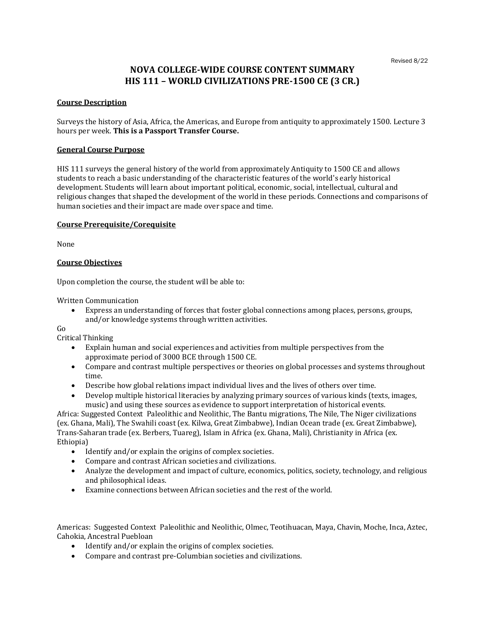# **NOVA COLLEGE-WIDE COURSE CONTENT SUMMARY HIS 111 – WORLD CIVILIZATIONS PRE-1500 CE (3 CR.)**

## **Course Description**

Surveys the history of Asia, Africa, the Americas, and Europe from antiquity to approximately 1500. Lecture 3 hours per week. **This is a Passport Transfer Course.**

## **General Course Purpose**

HIS 111 surveys the general history of the world from approximately Antiquity to 1500 CE and allows students to reach a basic understanding of the characteristic features of the world's early historical development. Students will learn about important political, economic, social, intellectual, cultural and religious changes that shaped the development of the world in these periods. Connections and comparisons of human societies and their impact are made over space and time.

#### **Course Prerequisite/Corequisite**

None

## **Course Objectives**

Upon completion the course, the student will be able to:

Written Communication

• Express an understanding of forces that foster global connections among places, persons, groups, and/or knowledge systems through written activities.

Go

Critical Thinking

- Explain human and social experiences and activities from multiple perspectives from the approximate period of 3000 BCE through 1500 CE.
- Compare and contrast multiple perspectives or theories on global processes and systems throughout time.
- Describe how global relations impact individual lives and the lives of others over time.
- Develop multiple historical literacies by analyzing primary sources of various kinds (texts, images, music) and using these sources as evidence to support interpretation of historical events.

Africa: Suggested Context Paleolithic and Neolithic, The Bantu migrations, The Nile, The Niger civilizations (ex. Ghana, Mali), The Swahili coast (ex. Kilwa, Great Zimbabwe), Indian Ocean trade (ex. Great Zimbabwe), Trans-Saharan trade (ex. Berbers, Tuareg), Islam in Africa (ex. Ghana, Mali), Christianity in Africa (ex. Ethiopia)

- Identify and/or explain the origins of complex societies.
- Compare and contrast African societies and civilizations.
- Analyze the development and impact of culture, economics, politics, society, technology, and religious and philosophical ideas.
- Examine connections between African societies and the rest of the world.

Americas: Suggested Context Paleolithic and Neolithic, Olmec, Teotihuacan, Maya, Chavin, Moche, Inca, Aztec, Cahokia, Ancestral Puebloan

- Identify and/or explain the origins of complex societies.
- Compare and contrast pre-Columbian societies and civilizations.